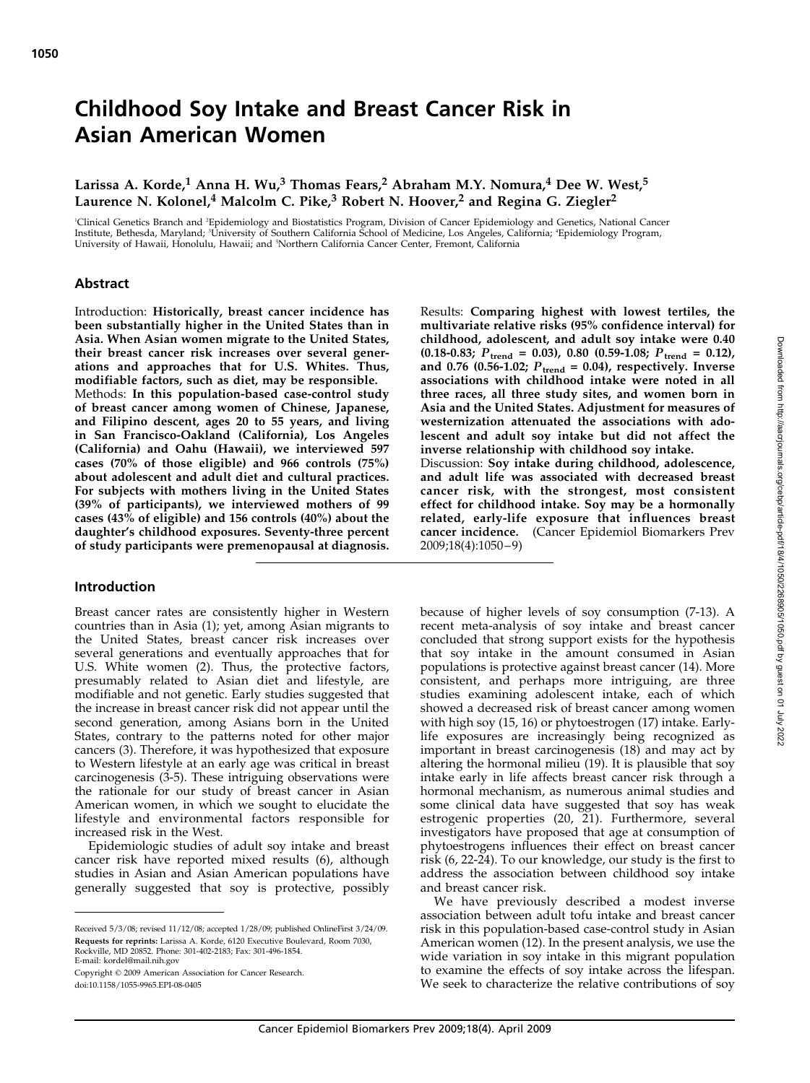# Childhood Soy Intake and Breast Cancer Risk in Asian American Women

## Larissa A. Korde,<sup>1</sup> Anna H. Wu,<sup>3</sup> Thomas Fears,<sup>2</sup> Abraham M.Y. Nomura,<sup>4</sup> Dee W. West,<sup>5</sup> Laurence N. Kolonel, $4$  Malcolm C. Pike, $3$  Robert N. Hoover, $2$  and Regina G. Ziegler<sup>2</sup>

'Clinical Genetics Branch and 'Epidemiology and Biostatistics Program, Division of Cancer Epidemiology and Genetics, National Cancer Institute, Bethesda, Maryland; <sup>s</sup>University of Southern California School of Medicine, Los Angeles, California; 'Epidemiology Program, University of Hawaii, Honolulu, Hawaii; and 'Northern California Cancer Center, Fremont, California

### Abstract

Introduction: Historically, breast cancer incidence has been substantially higher in the United States than in Asia. When Asian women migrate to the United States, their breast cancer risk increases over several generations and approaches that for U.S. Whites. Thus, modifiable factors, such as diet, may be responsible. Methods: In this population-based case-control study of breast cancer among women of Chinese, Japanese, and Filipino descent, ages 20 to 55 years, and living in San Francisco-Oakland (California), Los Angeles (California) and Oahu (Hawaii), we interviewed 597 cases (70% of those eligible) and 966 controls (75%) about adolescent and adult diet and cultural practices. For subjects with mothers living in the United States (39% of participants), we interviewed mothers of 99 cases (43% of eligible) and 156 controls (40%) about the daughter's childhood exposures. Seventy-three percent of study participants were premenopausal at diagnosis.

## Introduction

Breast cancer rates are consistently higher in Western countries than in Asia  $(1)$ ; yet, among Asian migrants to the United States, breast cancer risk increases over several generations and eventually approaches that for U.S. White women (2). Thus, the protective factors, presumably related to Asian diet and lifestyle, are modifiable and not genetic. Early studies suggested that the increase in breast cancer risk did not appear until the second generation, among Asians born in the United States, contrary to the patterns noted for other major cancers (3). Therefore, it was hypothesized that exposure to Western lifestyle at an early age was critical in breast carcinogenesis (3-5). These intriguing observations were the rationale for our study of breast cancer in Asian American women, in which we sought to elucidate the lifestyle and environmental factors responsible for increased risk in the West.

Epidemiologic studies of adult soy intake and breast cancer risk have reported mixed results (6), although studies in Asian and Asian American populations have generally suggested that soy is protective, possibly

Copyright © 2009 American Association for Cancer Research.

Results: Comparing highest with lowest tertiles, the multivariate relative risks (95% confidence interval) for childhood, adolescent, and adult soy intake were 0.40  $(0.18-0.83; P_{trend} = 0.03)$ , 0.80  $(0.59-1.08; P_{trend} = 0.12)$ , and 0.76 (0.56-1.02;  $P_{\text{trend}} = 0.04$ ), respectively. Inverse associations with childhood intake were noted in all three races, all three study sites, and women born in Asia and the United States. Adjustment for measures of westernization attenuated the associations with adolescent and adult soy intake but did not affect the inverse relationship with childhood soy intake.

Discussion: Soy intake during childhood, adolescence, and adult life was associated with decreased breast cancer risk, with the strongest, most consistent effect for childhood intake. Soy may be a hormonally related, early-life exposure that influences breast cancer incidence. (Cancer Epidemiol Biomarkers Prev 2009;18(4):1050 – 9)

because of higher levels of soy consumption (7-13). A recent meta-analysis of soy intake and breast cancer concluded that strong support exists for the hypothesis that soy intake in the amount consumed in Asian populations is protective against breast cancer (14). More consistent, and perhaps more intriguing, are three studies examining adolescent intake, each of which showed a decreased risk of breast cancer among women with high soy (15, 16) or phytoestrogen (17) intake. Earlylife exposures are increasingly being recognized as important in breast carcinogenesis (18) and may act by altering the hormonal milieu (19). It is plausible that soy intake early in life affects breast cancer risk through a hormonal mechanism, as numerous animal studies and some clinical data have suggested that soy has weak estrogenic properties (20, 21). Furthermore, several investigators have proposed that age at consumption of phytoestrogens influences their effect on breast cancer risk (6, 22-24). To our knowledge, our study is the first to address the association between childhood soy intake and breast cancer risk.

We have previously described a modest inverse association between adult tofu intake and breast cancer risk in this population-based case-control study in Asian American women (12). In the present analysis, we use the wide variation in soy intake in this migrant population to examine the effects of soy intake across the lifespan. We seek to characterize the relative contributions of soy

Received 5/3/08; revised 11/12/08; accepted 1/28/09; published OnlineFirst 3/24/09. Requests for reprints: Larissa A. Korde, 6120 Executive Boulevard, Room 7030, Rockville, MD 20852. Phone: 301-402-2183;Fax: 301-496-1854. E-mail: kordel@mail.nih.gov

doi:10.1158/1055-9965.EPI-08-0405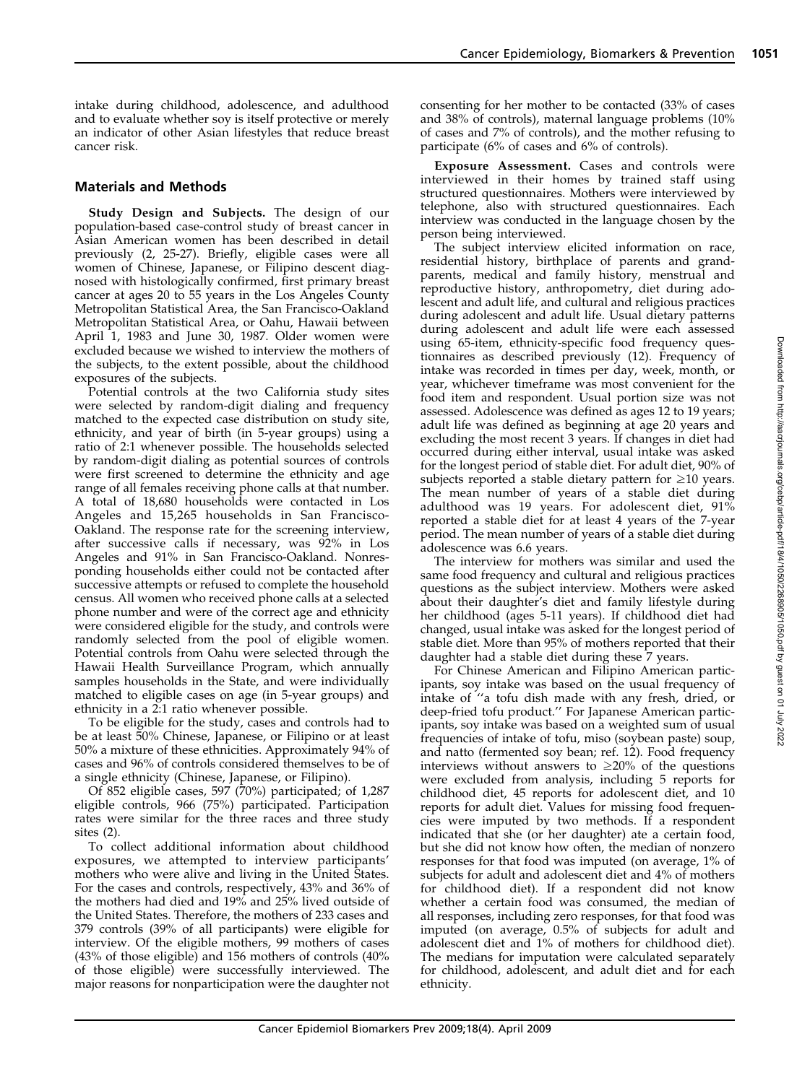intake during childhood, adolescence, and adulthood and to evaluate whether soy is itself protective or merely an indicator of other Asian lifestyles that reduce breast cancer risk.

## Materials and Methods

Study Design and Subjects. The design of our population-based case-control study of breast cancer in Asian American women has been described in detail previously (2, 25-27). Briefly, eligible cases were all women of Chinese, Japanese, or Filipino descent diagnosed with histologically confirmed, first primary breast cancer at ages 20 to 55 years in the Los Angeles County Metropolitan Statistical Area, the San Francisco-Oakland Metropolitan Statistical Area, or Oahu, Hawaii between April 1, 1983 and June 30, 1987. Older women were excluded because we wished to interview the mothers of the subjects, to the extent possible, about the childhood exposures of the subjects.

Potential controls at the two California study sites were selected by random-digit dialing and frequency matched to the expected case distribution on study site, ethnicity, and year of birth (in 5-year groups) using a ratio of 2:1 whenever possible. The households selected by random-digit dialing as potential sources of controls were first screened to determine the ethnicity and age range of all females receiving phone calls at that number. A total of 18,680 households were contacted in Los Angeles and 15,265 households in San Francisco-Oakland. The response rate for the screening interview, after successive calls if necessary, was 92% in Los Angeles and 91% in San Francisco-Oakland. Nonresponding households either could not be contacted after successive attempts or refused to complete the household census. All women who received phone calls at a selected phone number and were of the correct age and ethnicity were considered eligible for the study, and controls were randomly selected from the pool of eligible women. Potential controls from Oahu were selected through the Hawaii Health Surveillance Program, which annually samples households in the State, and were individually matched to eligible cases on age (in 5-year groups) and ethnicity in a 2:1 ratio whenever possible.

To be eligible for the study, cases and controls had to be at least 50% Chinese, Japanese, or Filipino or at least 50% a mixture of these ethnicities. Approximately 94% of cases and 96% of controls considered themselves to be of a single ethnicity (Chinese, Japanese, or Filipino).

Of 852 eligible cases, 597 ( $70\%$ ) participated; of 1,287 eligible controls, 966 (75%) participated. Participation rates were similar for the three races and three study sites (2).

To collect additional information about childhood exposures, we attempted to interview participants' mothers who were alive and living in the United States. For the cases and controls, respectively, 43% and 36% of the mothers had died and 19% and 25% lived outside of the United States. Therefore, the mothers of 233 cases and 379 controls (39% of all participants) were eligible for interview. Of the eligible mothers, 99 mothers of cases (43% of those eligible) and 156 mothers of controls (40% of those eligible) were successfully interviewed. The major reasons for nonparticipation were the daughter not consenting for her mother to be contacted (33% of cases and 38% of controls), maternal language problems (10% of cases and 7% of controls), and the mother refusing to participate (6% of cases and 6% of controls).

Exposure Assessment. Cases and controls were interviewed in their homes by trained staff using structured questionnaires. Mothers were interviewed by telephone, also with structured questionnaires. Each interview was conducted in the language chosen by the person being interviewed.

The subject interview elicited information on race, residential history, birthplace of parents and grandparents, medical and family history, menstrual and reproductive history, anthropometry, diet during adolescent and adult life, and cultural and religious practices during adolescent and adult life. Usual dietary patterns during adolescent and adult life were each assessed using 65-item, ethnicity-specific food frequency questionnaires as described previously (12). Frequency of intake was recorded in times per day, week, month, or year, whichever timeframe was most convenient for the food item and respondent. Usual portion size was not assessed. Adolescence was defined as ages 12 to 19 years; adult life was defined as beginning at age 20 years and excluding the most recent 3 years. If changes in diet had occurred during either interval, usual intake was asked for the longest period of stable diet. For adult diet, 90% of subjects reported a stable dietary pattern for  $\geq 10$  years. The mean number of years of a stable diet during adulthood was 19 years. For adolescent diet, 91% reported a stable diet for at least 4 years of the 7-year period. The mean number of years of a stable diet during adolescence was 6.6 years.

The interview for mothers was similar and used the same food frequency and cultural and religious practices questions as the subject interview. Mothers were asked about their daughter's diet and family lifestyle during her childhood (ages 5-11 years). If childhood diet had changed, usual intake was asked for the longest period of stable diet. More than 95% of mothers reported that their daughter had a stable diet during these 7 years.

For Chinese American and Filipino American participants, soy intake was based on the usual frequency of intake of ''a tofu dish made with any fresh, dried, or deep-fried tofu product.'' For Japanese American participants, soy intake was based on a weighted sum of usual frequencies of intake of tofu, miso (soybean paste) soup, and natto (fermented soy bean; ref. 12). Food frequency interviews without answers to  $\geq 20\%$  of the questions were excluded from analysis, including 5 reports for childhood diet, 45 reports for adolescent diet, and 10 reports for adult diet. Values for missing food frequencies were imputed by two methods. If a respondent indicated that she (or her daughter) ate a certain food, but she did not know how often, the median of nonzero responses for that food was imputed (on average, 1% of subjects for adult and adolescent diet and 4% of mothers for childhood diet). If a respondent did not know whether a certain food was consumed, the median of all responses, including zero responses, for that food was imputed (on average, 0.5% of subjects for adult and adolescent diet and 1% of mothers for childhood diet). The medians for imputation were calculated separately for childhood, adolescent, and adult diet and for each ethnicity.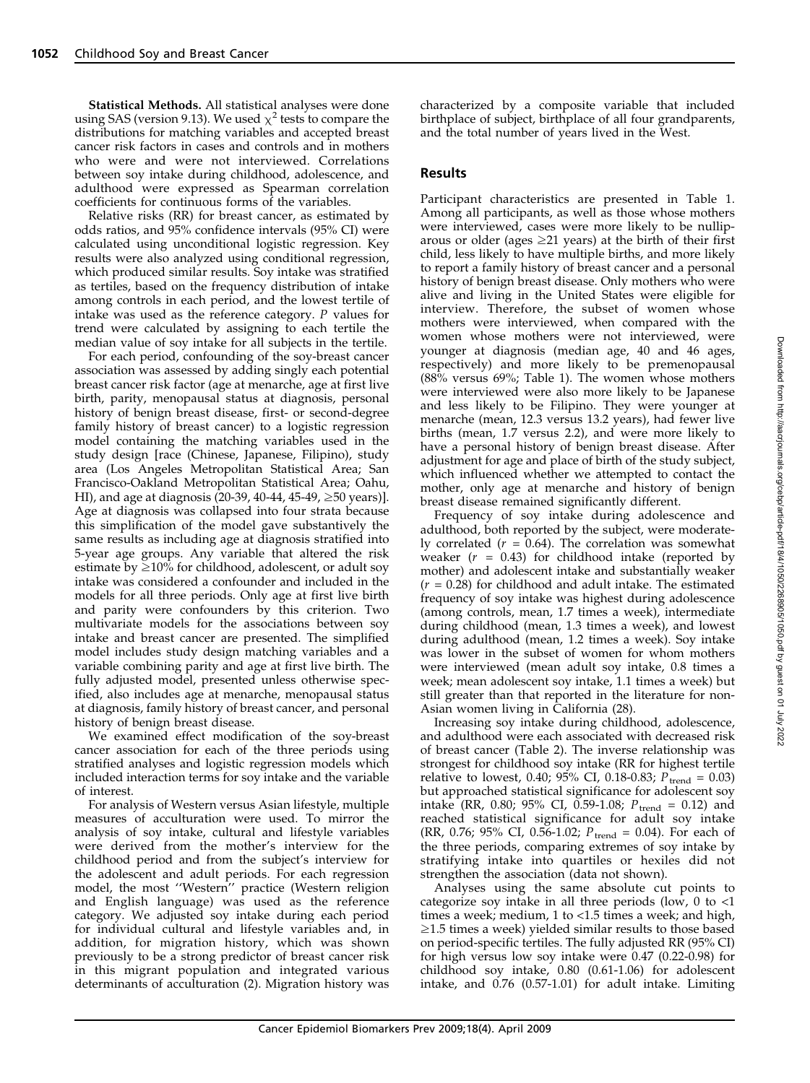Statistical Methods. All statistical analyses were done using SAS (version 9.13). We used  $\chi^2$  tests to compare the distributions for matching variables and accepted breast cancer risk factors in cases and controls and in mothers who were and were not interviewed. Correlations between soy intake during childhood, adolescence, and adulthood were expressed as Spearman correlation coefficients for continuous forms of the variables.

Relative risks (RR) for breast cancer, as estimated by odds ratios, and 95% confidence intervals (95% CI) were calculated using unconditional logistic regression. Key results were also analyzed using conditional regression, which produced similar results. Soy intake was stratified as tertiles, based on the frequency distribution of intake among controls in each period, and the lowest tertile of intake was used as the reference category. P values for trend were calculated by assigning to each tertile the median value of soy intake for all subjects in the tertile.

For each period, confounding of the soy-breast cancer association was assessed by adding singly each potential breast cancer risk factor (age at menarche, age at first live birth, parity, menopausal status at diagnosis, personal history of benign breast disease, first- or second-degree family history of breast cancer) to a logistic regression model containing the matching variables used in the study design [race (Chinese, Japanese, Filipino), study area (Los Angeles Metropolitan Statistical Area; San Francisco-Oakland Metropolitan Statistical Area; Oahu, HI), and age at diagnosis (20-39, 40-44, 45-49,  $\geq$ 50 years)]. Age at diagnosis was collapsed into four strata because this simplification of the model gave substantively the same results as including age at diagnosis stratified into 5-year age groups. Any variable that altered the risk estimate by  $\geq$ 10% for childhood, adolescent, or adult soy intake was considered a confounder and included in the models for all three periods. Only age at first live birth and parity were confounders by this criterion. Two multivariate models for the associations between soy intake and breast cancer are presented. The simplified model includes study design matching variables and a variable combining parity and age at first live birth. The fully adjusted model, presented unless otherwise specified, also includes age at menarche, menopausal status at diagnosis, family history of breast cancer, and personal history of benign breast disease.

We examined effect modification of the soy-breast cancer association for each of the three periods using stratified analyses and logistic regression models which included interaction terms for soy intake and the variable of interest.

For analysis of Western versus Asian lifestyle, multiple measures of acculturation were used. To mirror the analysis of soy intake, cultural and lifestyle variables were derived from the mother's interview for the childhood period and from the subject's interview for the adolescent and adult periods. For each regression model, the most ''Western'' practice (Western religion and English language) was used as the reference category. We adjusted soy intake during each period for individual cultural and lifestyle variables and, in addition, for migration history, which was shown previously to be a strong predictor of breast cancer risk in this migrant population and integrated various determinants of acculturation (2). Migration history was characterized by a composite variable that included birthplace of subject, birthplace of all four grandparents, and the total number of years lived in the West.

## Results

Participant characteristics are presented in Table 1. Among all participants, as well as those whose mothers were interviewed, cases were more likely to be nulliparous or older (ages  $\geq$ 21 years) at the birth of their first child, less likely to have multiple births, and more likely to report a family history of breast cancer and a personal history of benign breast disease. Only mothers who were alive and living in the United States were eligible for interview. Therefore, the subset of women whose mothers were interviewed, when compared with the women whose mothers were not interviewed, were younger at diagnosis (median age, 40 and 46 ages, respectively) and more likely to be premenopausal  $(88\%$  versus  $69\%$ ; Table 1). The women whose mothers were interviewed were also more likely to be Japanese and less likely to be Filipino. They were younger at menarche (mean, 12.3 versus 13.2 years), had fewer live births (mean, 1.7 versus 2.2), and were more likely to have a personal history of benign breast disease. After adjustment for age and place of birth of the study subject, which influenced whether we attempted to contact the mother, only age at menarche and history of benign breast disease remained significantly different.

Frequency of soy intake during adolescence and adulthood, both reported by the subject, were moderately correlated ( $r = 0.64$ ). The correlation was somewhat weaker ( $r = 0.43$ ) for childhood intake (reported by mother) and adolescent intake and substantially weaker  $(r = 0.28)$  for childhood and adult intake. The estimated frequency of soy intake was highest during adolescence (among controls, mean, 1.7 times a week), intermediate during childhood (mean, 1.3 times a week), and lowest during adulthood (mean, 1.2 times a week). Soy intake was lower in the subset of women for whom mothers were interviewed (mean adult soy intake, 0.8 times a week; mean adolescent soy intake, 1.1 times a week) but still greater than that reported in the literature for non-Asian women living in California (28).

Increasing soy intake during childhood, adolescence, and adulthood were each associated with decreased risk of breast cancer (Table 2). The inverse relationship was strongest for childhood soy intake (RR for highest tertile relative to lowest, 0.40; 95% CI, 0.18-0.83;  $\vec{P}_{\text{trend}} = 0.03$ ) but approached statistical significance for adolescent soy intake (RR, 0.80; 95% CI, 0.59-1.08;  $P_{\text{trend}} = 0.12$ ) and reached statistical significance for adult soy intake (RR, 0.76; 95% CI, 0.56-1.02;  $P_{\text{trend}} = 0.04$ ). For each of the three periods, comparing extremes of soy intake by stratifying intake into quartiles or hexiles did not strengthen the association (data not shown).

Analyses using the same absolute cut points to categorize soy intake in all three periods (low,  $0$  to <1 times a week; medium,  $1$  to  $<$ 1.5 times a week; and high,  $\geq$ 1.5 times a week) yielded similar results to those based on period-specific tertiles. The fully adjusted RR (95% CI) for high versus low soy intake were 0.47 (0.22-0.98) for childhood soy intake, 0.80 (0.61-1.06) for adolescent intake, and 0.76 (0.57-1.01) for adult intake. Limiting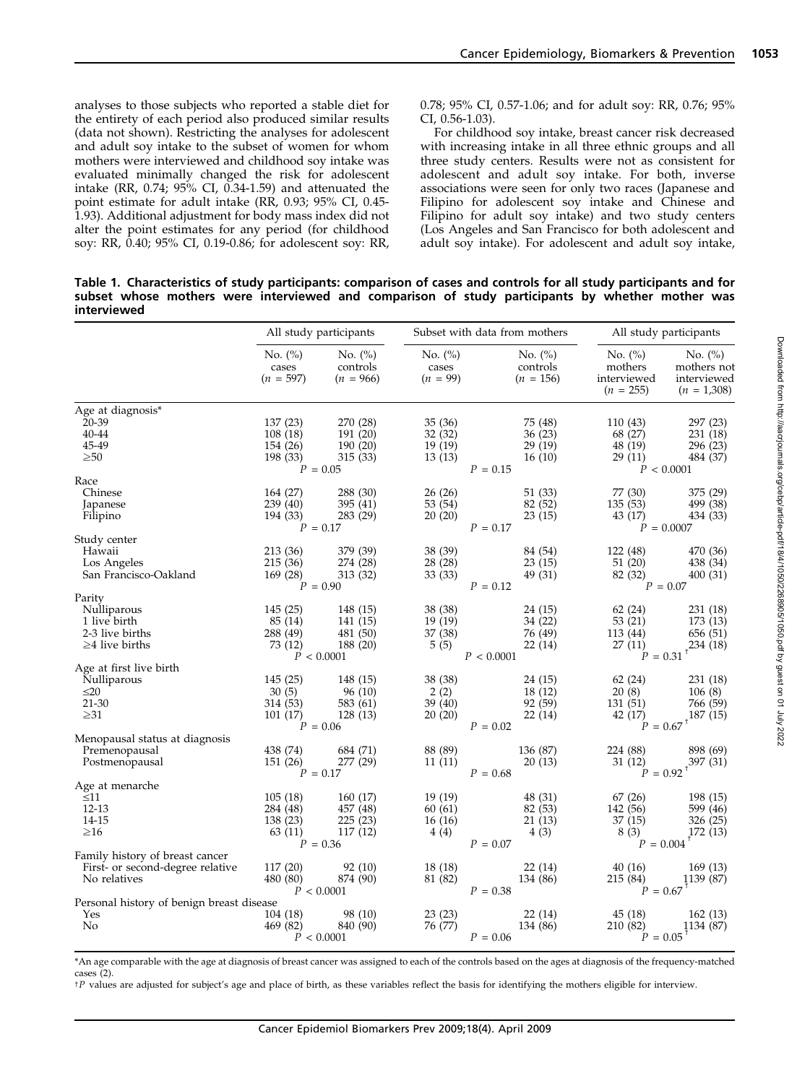analyses to those subjects who reported a stable diet for the entirety of each period also produced similar results (data not shown). Restricting the analyses for adolescent and adult soy intake to the subset of women for whom mothers were interviewed and childhood soy intake was evaluated minimally changed the risk for adolescent intake (RR, 0.74;  $95\%$  CI, 0.34-1.59) and attenuated the point estimate for adult intake (RR, 0.93; 95% CI, 0.45-1.93). Additional adjustment for body mass index did not alter the point estimates for any period (for childhood soy: RR, 0.40; 95% CI, 0.19-0.86; for adolescent soy: RR, 0.78; 95% CI, 0.57-1.06; and for adult soy: RR, 0.76; 95% CI, 0.56-1.03).

For childhood soy intake, breast cancer risk decreased with increasing intake in all three ethnic groups and all three study centers. Results were not as consistent for adolescent and adult soy intake. For both, inverse associations were seen for only two races (Japanese and Filipino for adolescent soy intake and Chinese and Filipino for adult soy intake) and two study centers (Los Angeles and San Francisco for both adolescent and adult soy intake). For adolescent and adult soy intake,

Table 1. Characteristics of study participants: comparison of cases and controls for all study participants and for subset whose mothers were interviewed and comparison of study participants by whether mother was interviewed

|                                                  |                                    | All study participants                 |                                    | Subset with data from mothers         |                                                     | All study participants                                    |
|--------------------------------------------------|------------------------------------|----------------------------------------|------------------------------------|---------------------------------------|-----------------------------------------------------|-----------------------------------------------------------|
|                                                  | No. $(\%)$<br>cases<br>$(n = 597)$ | No. $(\% )$<br>controls<br>$(n = 966)$ | No. $(\% )$<br>cases<br>$(n = 99)$ | No. $(\%)$<br>controls<br>$(n = 156)$ | No. $(\%)$<br>mothers<br>interviewed<br>$(n = 255)$ | No. $(\%)$<br>mothers not<br>interviewed<br>$(n = 1,308)$ |
| Age at diagnosis*                                |                                    |                                        |                                    |                                       |                                                     |                                                           |
| 20-39                                            | 137 (23)                           | 270 (28)                               | 35(36)                             | 75 (48)                               | 110 (43)                                            | 297 (23)                                                  |
| 40-44                                            | 108(18)                            | 191 (20)                               | 32 (32)                            | 36(23)                                | 68 (27)                                             | 231 (18)                                                  |
| 45-49                                            | 154 (26)                           | 190 (20)                               | 19(19)                             | 29(19)                                | 48 (19)                                             | 296 (23)                                                  |
| $\geq 50$                                        | 198 (33)                           | 315 (33)<br>$P = 0.05$                 | 13(13)                             | 16(10)<br>$P = 0.15$                  | 29(11)                                              | 484 (37)<br>P < 0.0001                                    |
| Race                                             |                                    |                                        |                                    |                                       |                                                     |                                                           |
| Chinese                                          | 164 (27)                           | 288 (30)                               | 26(26)                             | 51 (33)                               | 77 (30)                                             | 375 (29)                                                  |
| Japanese                                         | 239(40)                            | 395 (41)                               | 53 $(54)$                          | 82(52)                                | 135(53)                                             | 499 (38)                                                  |
| Filipino                                         | 194 (33)                           | 283 (29)                               | 20(20)                             | 23(15)                                | 43 (17)                                             | 434 (33)                                                  |
|                                                  |                                    | $P = 0.17$                             |                                    | $P = 0.17$                            |                                                     | $P = 0.0007$                                              |
| Study center                                     |                                    |                                        |                                    |                                       |                                                     |                                                           |
| Hawaii                                           | 213 (36)                           | 379 (39)                               | 38 (39)                            | 84 (54)                               | 122 (48)                                            | 470 (36)                                                  |
| Los Angeles                                      | 215 (36)                           | 274 (28)                               | 28 (28)                            | 23(15)                                | 51 (20)                                             | 438 (34)                                                  |
| San Francisco-Oakland                            | 169(28)                            | 313 (32)                               | 33(33)                             | 49 (31)                               | 82 (32)                                             | 400 (31)                                                  |
|                                                  |                                    | $P = 0.90$                             |                                    | $P = 0.12$                            |                                                     | $P = 0.07$                                                |
| Parity<br>Nulliparous                            | 145(25)                            | 148 (15)                               | 38 (38)                            | 24 (15)                               | 62(24)                                              | 231 (18)                                                  |
| 1 live birth                                     | 85 (14)                            | 141 (15)                               | 19(19)                             | 34 (22)                               | 53 (21)                                             | 173 (13)                                                  |
| 2-3 live births                                  | 288 (49)                           | 481 (50)                               | 37(38)                             | 76 (49)                               | 113 (44)                                            | 656 (51)                                                  |
| $\geq$ 4 live births                             | 73 (12)                            | 188 (20)                               | 5(5)                               | 22(14)                                | 27(11)                                              | 234(18)                                                   |
|                                                  |                                    | P < 0.0001                             |                                    | P < 0.0001                            | $P = 0.31$                                          |                                                           |
| Age at first live birth                          |                                    |                                        |                                    |                                       |                                                     |                                                           |
| Nulliparous                                      | 145(25)                            | 148 (15)                               | 38 (38)                            | 24 (15)                               | 62(24)                                              | 231 (18)                                                  |
| $\leq 20$                                        | 30(5)                              | 96(10)                                 | 2(2)                               | 18(12)                                | 20(8)                                               | 106(8)                                                    |
| 21-30                                            | 314(53)                            | 583 (61)                               | 39 (40)                            | 92 (59)                               | 131(51)                                             | 766 (59)                                                  |
| $\geq 31$                                        | 101(17)                            | 128(13)                                | 20(20)                             | 22(14)                                | 42(17)                                              | 187(15)                                                   |
|                                                  |                                    | $P = 0.06$                             |                                    | $P = 0.02$                            | $\hat{P} = 0.67$ <sup>+</sup>                       |                                                           |
| Menopausal status at diagnosis                   |                                    |                                        |                                    |                                       |                                                     |                                                           |
| Premenopausal                                    | 438 (74)                           | 684 (71)                               | 88 (89)                            | 136 (87)                              | 224 (88)<br>31(12)                                  | 898 (69)                                                  |
| Postmenopausal                                   | 151(26)                            | 277 (29)<br>$P = 0.17$                 | 11(11)                             | 20(13)<br>$P = 0.68$                  |                                                     |                                                           |
| Age at menarche                                  |                                    |                                        |                                    |                                       |                                                     | $\acute{P} = 0.92 \square^{397}$ (31)                     |
| $\leq 11$                                        | 105(18)                            | 160(17)                                | 19(19)                             | 48 (31)                               | 67(26)                                              | 198 (15)                                                  |
| $12 - 13$                                        | 284 (48)                           | 457 (48)                               | 60 (61)                            | 82 (53)                               | 142 (56)                                            | 599 (46)                                                  |
| 14-15                                            | 138(23)                            | 225(23)                                | 16(16)                             | 21(13)                                | 37(15)                                              | 326 (25)                                                  |
| $\geq 16$                                        | 63 (11)                            | 117(12)                                | 4(4)                               | 4(3)                                  | 8 (3)                                               | 172 (13)                                                  |
|                                                  |                                    | $P = 0.36$                             |                                    | $P = 0.07$                            |                                                     | $P = 0.004^{\dagger}$                                     |
| Family history of breast cancer                  |                                    |                                        |                                    |                                       |                                                     |                                                           |
| First- or second-degree relative                 | 117 (20)                           | 92(10)                                 | 18 (18)                            | 22(14)                                | 40(16)                                              | 169(13)                                                   |
| No relatives                                     | 480 (80)                           | 874 (90)                               | 81 (82)                            | 134 (86)                              | 215(84)                                             | 1139 (87)                                                 |
|                                                  |                                    | P < 0.0001                             |                                    | $P = 0.38$                            | $P = 0.67$                                          |                                                           |
| Personal history of benign breast disease<br>Yes |                                    |                                        |                                    |                                       |                                                     |                                                           |
| No                                               | 104 (18)<br>469 (82)               | 98 (10)<br>840 (90)                    | 23(23)<br>76 (77)                  | 22(14)<br>134 (86)                    | 45 (18)<br>210 (82)                                 | 162(13)<br>1134 (87)                                      |
|                                                  |                                    | P < 0.0001                             |                                    | $P = 0.06$                            | $P = 0.05$                                          |                                                           |
|                                                  |                                    |                                        |                                    |                                       |                                                     |                                                           |

\*An age comparable with the age at diagnosis of breast cancer was assigned to each of the controls based on the ages at diagnosis of the frequency-matched cases (2).

<sup>†</sup>P values are adjusted for subject's age and place of birth, as these variables reflect the basis for identifying the mothers eligible for interview.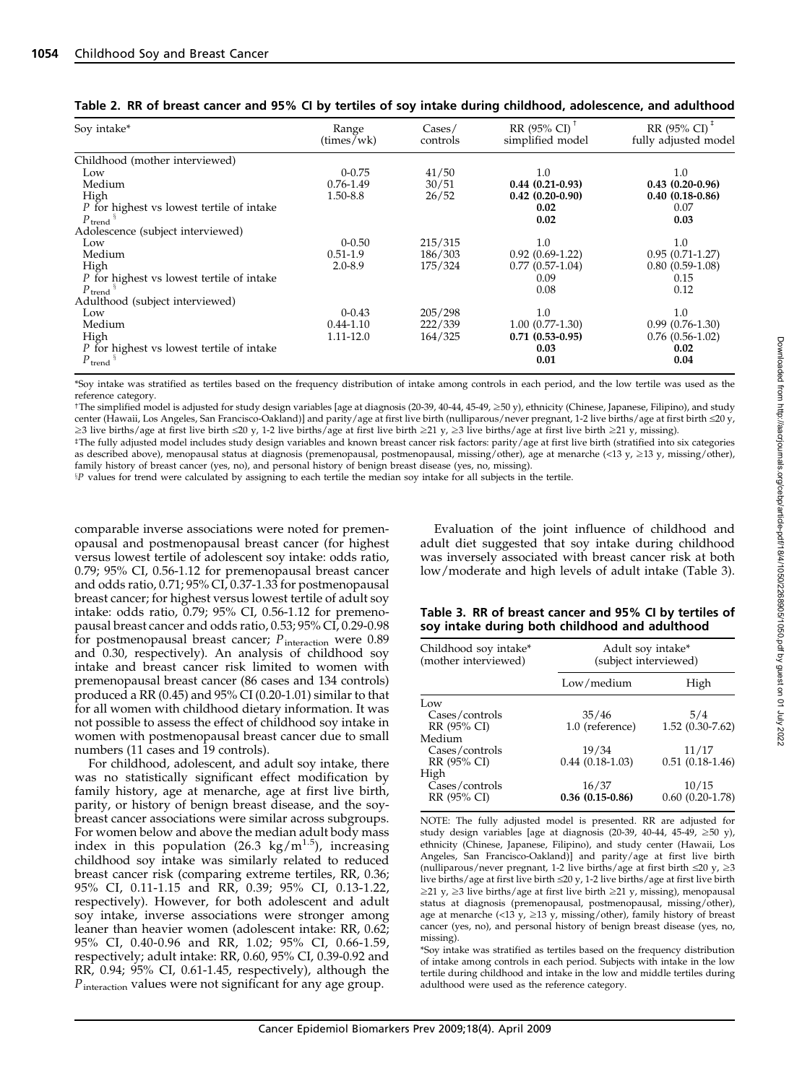|  | Table 2. RR of breast cancer and 95% CI by tertiles of soy intake during childhood, adolescence, and adulthood |  |  |  |
|--|----------------------------------------------------------------------------------------------------------------|--|--|--|
|  |                                                                                                                |  |  |  |

| Soy intake*                                 | Range<br>(times/wk) | Cases/<br>controls | $RR(95\% CI)^T$<br>simplified model | RR (95% CI) <sup><math>‡</math></sup><br>fully adjusted model |
|---------------------------------------------|---------------------|--------------------|-------------------------------------|---------------------------------------------------------------|
| Childhood (mother interviewed)              |                     |                    |                                     |                                                               |
| Low                                         | $0 - 0.75$          | 41/50              | 1.0                                 | 1.0                                                           |
| Medium                                      | $0.76 - 1.49$       | 30/51              | $0.44(0.21-0.93)$                   | $0.43(0.20-0.96)$                                             |
| High                                        | 1.50-8.8            | 26/52              | $0.42(0.20-0.90)$                   | $0.40(0.18-0.86)$                                             |
| $P$ for highest vs lowest tertile of intake |                     |                    | 0.02                                | 0.07                                                          |
| $P_{\text{trend}}$                          |                     |                    | 0.02                                | 0.03                                                          |
| Adolescence (subject interviewed)           |                     |                    |                                     |                                                               |
| Low                                         | $0 - 0.50$          | 215/315            | 1.0                                 | 1.0                                                           |
| Medium                                      | $0.51 - 1.9$        | 186/303            | $0.92(0.69-1.22)$                   | $0.95(0.71-1.27)$                                             |
| High                                        | $2.0 - 8.9$         | 175/324            | $0.77(0.57-1.04)$                   | $0.80(0.59-1.08)$                                             |
| $P$ for highest vs lowest tertile of intake |                     |                    | 0.09                                | 0.15                                                          |
| $P_{\text{trend}}$                          |                     |                    | 0.08                                | 0.12                                                          |
| Adulthood (subject interviewed)             |                     |                    |                                     |                                                               |
| Low                                         | $0 - 0.43$          | 205/298            | 1.0                                 | 1.0                                                           |
| Medium                                      | $0.44 - 1.10$       | 222/339            | $1.00(0.77-1.30)$                   | $0.99(0.76-1.30)$                                             |
| High                                        | 1.11-12.0           | 164/325            | $0.71(0.53-0.95)$                   | $0.76(0.56-1.02)$                                             |
| P for highest vs lowest tertile of intake   |                     |                    | 0.03                                | 0.02                                                          |
| $P_{\text{trend}}$                          |                     |                    | 0.01                                | 0.04                                                          |

\*Soy intake was stratified as tertiles based on the frequency distribution of intake among controls in each period, and the low tertile was used as the reference category.

†The simplified model is adjusted for study design variables [age at diagnosis (20-39, 40-44, 45-49, ≥50 y), ethnicity (Chinese, Japanese, Filipino), and study center (Hawaii, Los Angeles, San Francisco-Oakland)] and parity/age at first live birth (nulliparous/never pregnant, 1-2 live births/age at first birth  $\leq 20$  y,  $\geq$ 3 live births/age at first live birth  $\leq$ 20 y, 1-2 live births/age at first live birth  $\geq$ 21 y,  $\geq$ 3 live births/age at first live birth  $\geq$ 21 y, missing).

#The fully adjusted model includes study design variables and known breast cancer risk factors: parity/age at first live birth (stratified into six categories as described above), menopausal status at diagnosis (premenopausal, postmenopausal, missing/other), age at menarche (<13 y,  $\geq$ 13 y, missing/other), family history of breast cancer (yes, no), and personal history of benign breast disease (yes, no, missing).

<sup>§P</sup> values for trend were calculated by assigning to each tertile the median soy intake for all subjects in the tertile.

comparable inverse associations were noted for premenopausal and postmenopausal breast cancer (for highest versus lowest tertile of adolescent soy intake: odds ratio, 0.79; 95% CI, 0.56-1.12 for premenopausal breast cancer and odds ratio, 0.71;95% CI, 0.37-1.33 for postmenopausal breast cancer; for highest versus lowest tertile of adult soy intake: odds ratio,  $0.79$ ;  $95\%$  CI,  $0.56$ -1.12 for premenopausal breast cancer and odds ratio, 0.53;95% CI, 0.29-0.98 for postmenopausal breast cancer;  $P_{\text{interaction}}$  were 0.89 and 0.30, respectively). An analysis of childhood soy intake and breast cancer risk limited to women with premenopausal breast cancer (86 cases and 134 controls) produced a RR (0.45) and 95% CI (0.20-1.01) similar to that for all women with childhood dietary information. It was not possible to assess the effect of childhood soy intake in women with postmenopausal breast cancer due to small numbers (11 cases and 19 controls).

For childhood, adolescent, and adult soy intake, there was no statistically significant effect modification by family history, age at menarche, age at first live birth, parity, or history of benign breast disease, and the soybreast cancer associations were similar across subgroups. For women below and above the median adult body mass index in this population (26.3 kg/m<sup>1.5</sup>), increasing childhood soy intake was similarly related to reduced breast cancer risk (comparing extreme tertiles, RR, 0.36; 95% CI, 0.11-1.15 and RR, 0.39;95% CI, 0.13-1.22, respectively). However, for both adolescent and adult soy intake, inverse associations were stronger among leaner than heavier women (adolescent intake: RR, 0.62; 95% CI, 0.40-0.96 and RR, 1.02;95% CI, 0.66-1.59, respectively; adult intake: RR, 0.60, 95% CI, 0.39-0.92 and  $RR$ , 0.94; 95% CI, 0.61-1.45, respectively), although the Pinteraction values were not significant for any age group.

Evaluation of the joint influence of childhood and adult diet suggested that soy intake during childhood was inversely associated with breast cancer risk at both low/moderate and high levels of adult intake (Table 3).

|  | Table 3. RR of breast cancer and 95% CI by tertiles of |  |
|--|--------------------------------------------------------|--|
|  | soy intake during both childhood and adulthood         |  |

| Childhood soy intake*<br>(mother interviewed) | Adult soy intake*<br>(subject interviewed) |                   |  |  |
|-----------------------------------------------|--------------------------------------------|-------------------|--|--|
|                                               | Low/medium                                 | High              |  |  |
| Low                                           |                                            |                   |  |  |
| Cases/controls                                | 35/46                                      | 5/4               |  |  |
| RR (95% CI)                                   | 1.0 (reference)                            | $1.52(0.30-7.62)$ |  |  |
| Medium                                        |                                            |                   |  |  |
| Cases/controls                                | 19/34                                      | 11/17             |  |  |
| RR (95% CI)                                   | $0.44(0.18-1.03)$                          | $0.51(0.18-1.46)$ |  |  |
| High                                          |                                            |                   |  |  |
| Cases/controls                                | 16/37                                      | 10/15             |  |  |
| RR (95% CI)                                   | $0.36(0.15-0.86)$                          | $0.60(0.20-1.78)$ |  |  |

NOTE: The fully adjusted model is presented. RR are adjusted for study design variables [age at diagnosis (20-39, 40-44, 45-49,  $\geq$ 50 y), ethnicity (Chinese, Japanese, Filipino), and study center (Hawaii, Los Angeles, San Francisco-Oakland)] and parity/age at first live birth (nulliparous/never pregnant, 1-2 live births/age at first birth  $\leq 20$  y,  $\geq 3$ live births/age at first live birth ≤20 y, 1-2 live births/age at first live birth  $\geq$ 21 y,  $\geq$ 3 live births/age at first live birth  $\geq$ 21 y, missing), menopausal status at diagnosis (premenopausal, postmenopausal, missing/other), age at menarche (<13 y,  $\geq$ 13 y, missing/other), family history of breast cancer (yes, no), and personal history of benign breast disease (yes, no, missing).

\*Soy intake was stratified as tertiles based on the frequency distribution of intake among controls in each period. Subjects with intake in the low tertile during childhood and intake in the low and middle tertiles during adulthood were used as the reference category.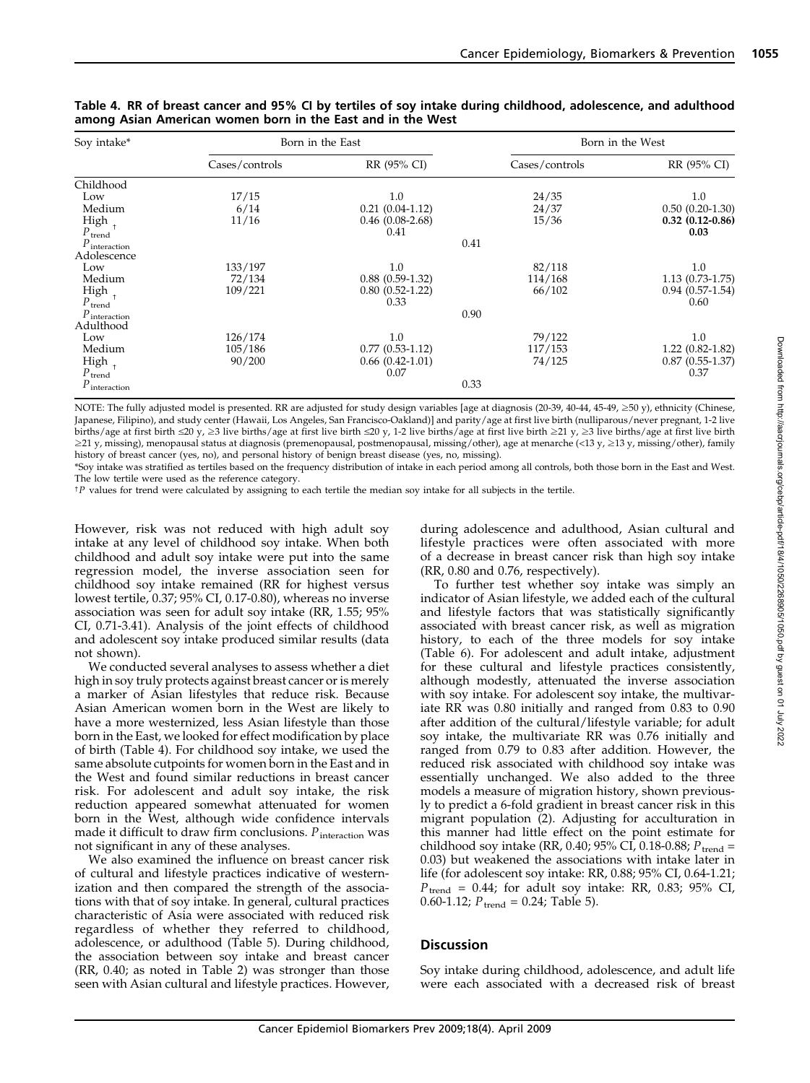| Soy intake*              |                | Born in the East   |                | Born in the West     |
|--------------------------|----------------|--------------------|----------------|----------------------|
|                          | Cases/controls | RR (95% CI)        | Cases/controls | RR (95% CI)          |
| Childhood                |                |                    |                |                      |
| Low                      | 17/15          | $1.0\,$            | 24/35          | 1.0                  |
| Medium                   | 6/14           | $0.21(0.04-1.12)$  | 24/37          | $0.50(0.20-1.30)$    |
| High                     | 11/16          | $0.46$ (0.08-2.68) | 15/36          | $0.32(0.12-0.86)$    |
| $P_{\text{trend}}$       |                | 0.41               |                | 0.03                 |
| $P_{\text{interaction}}$ |                | 0.41               |                |                      |
| Adolescence              |                |                    |                |                      |
| Low                      | 133/197        | 1.0                | 82/118         | 1.0                  |
| Medium                   | 72/134         | $0.88(0.59-1.32)$  | 114/168        | $1.13(0.73-1.75)$    |
| High                     | 109/221        | $0.80(0.52-1.22)$  | 66/102         | $0.94(0.57-1.54)$    |
| $P_{\text{trend}}$       |                | 0.33               |                | 0.60                 |
| $P$ interaction          |                | 0.90               |                |                      |
| Adulthood                |                |                    |                |                      |
| Low                      | 126/174        | 1.0                | 79/122         | 1.0                  |
| Medium                   | 105/186        | $0.77(0.53-1.12)$  | 117/153        | $1.22(0.82 - 1.82)$  |
| High +                   | 90/200         | $0.66(0.42-1.01)$  | 74/125         | $0.87$ $(0.55-1.37)$ |
| $P_{\text{trend}}$       |                | 0.07               |                | 0.37                 |
| $P_{\text{interaction}}$ |                | 0.33               |                |                      |

Table 4. RR of breast cancer and 95% CI by tertiles of soy intake during childhood, adolescence, and adulthood among Asian American women born in the East and in the West

NOTE: The fully adjusted model is presented. RR are adjusted for study design variables [age at diagnosis (20-39, 40-44, 45-49, ≥50 y), ethnicity (Chinese, Japanese, Filipino), and study center (Hawaii, Los Angeles, San Francisco-Oakland)] and parity/age at first live birth (nulliparous/never pregnant, 1-2 live births/age at first birth  $\leq 20$  y,  $\geq 3$  live births/age at first live birth  $\leq 20$  y, 1-2 live births/age at first live birth  $\geq 21$  y,  $\geq 3$  live births/age at first live birth ≥21 y, missing), menopausal status at diagnosis (premenopausal, postmenopausal, missing/other), age at menarche (<13 y, ≥13 y, missing/other), family history of breast cancer (yes, no), and personal history of benign breast disease (yes, no, missing).

\*Soy intake was stratified as tertiles based on the frequency distribution of intake in each period among all controls, both those born in the East and West. The low tertile were used as the reference category.

<sup>+ P</sup> values for trend were calculated by assigning to each tertile the median soy intake for all subjects in the tertile.

However, risk was not reduced with high adult soy intake at any level of childhood soy intake. When both childhood and adult soy intake were put into the same regression model, the inverse association seen for childhood soy intake remained (RR for highest versus lowest tertile, 0.37;95% CI, 0.17-0.80), whereas no inverse association was seen for adult soy intake (RR, 1.55;95% CI, 0.71-3.41). Analysis of the joint effects of childhood and adolescent soy intake produced similar results (data not shown).

We conducted several analyses to assess whether a diet high in soy truly protects against breast cancer or is merely a marker of Asian lifestyles that reduce risk. Because Asian American women born in the West are likely to have a more westernized, less Asian lifestyle than those born in the East, we looked for effect modification by place of birth (Table 4). For childhood soy intake, we used the same absolute cutpoints for women born in the East and in the West and found similar reductions in breast cancer risk. For adolescent and adult soy intake, the risk reduction appeared somewhat attenuated for women born in the West, although wide confidence intervals made it difficult to draw firm conclusions.  $P_{\text{interaction}}$  was not significant in any of these analyses.

We also examined the influence on breast cancer risk of cultural and lifestyle practices indicative of westernization and then compared the strength of the associations with that of soy intake. In general, cultural practices characteristic of Asia were associated with reduced risk regardless of whether they referred to childhood, adolescence, or adulthood (Table 5). During childhood, the association between soy intake and breast cancer  $(RR, 0.40;$  as noted in Table 2) was stronger than those seen with Asian cultural and lifestyle practices. However, during adolescence and adulthood, Asian cultural and lifestyle practices were often associated with more of a decrease in breast cancer risk than high soy intake (RR, 0.80 and 0.76, respectively).

To further test whether soy intake was simply an indicator of Asian lifestyle, we added each of the cultural and lifestyle factors that was statistically significantly associated with breast cancer risk, as well as migration history, to each of the three models for soy intake (Table 6). For adolescent and adult intake, adjustment for these cultural and lifestyle practices consistently, although modestly, attenuated the inverse association with soy intake. For adolescent soy intake, the multivariate RR was 0.80 initially and ranged from 0.83 to 0.90 after addition of the cultural/lifestyle variable; for adult soy intake, the multivariate RR was 0.76 initially and ranged from 0.79 to 0.83 after addition. However, the reduced risk associated with childhood soy intake was essentially unchanged. We also added to the three models a measure of migration history, shown previously to predict a 6-fold gradient in breast cancer risk in this migrant population (2). Adjusting for acculturation in this manner had little effect on the point estimate for childhood soy intake (RR, 0.40; 95% CI, 0.18-0.88;  $P_{\text{trend}} =$ 0.03) but weakened the associations with intake later in life (for adolescent soy intake: RR, 0.88;95% CI, 0.64-1.21;  $P_{\text{trend}} = 0.44$ ; for adult soy intake: RR, 0.83; 95% CI, 0.60-1.12;  $P_{\text{trend}} = 0.24$ ; Table 5).

# **Discussion**

Soy intake during childhood, adolescence, and adult life were each associated with a decreased risk of breast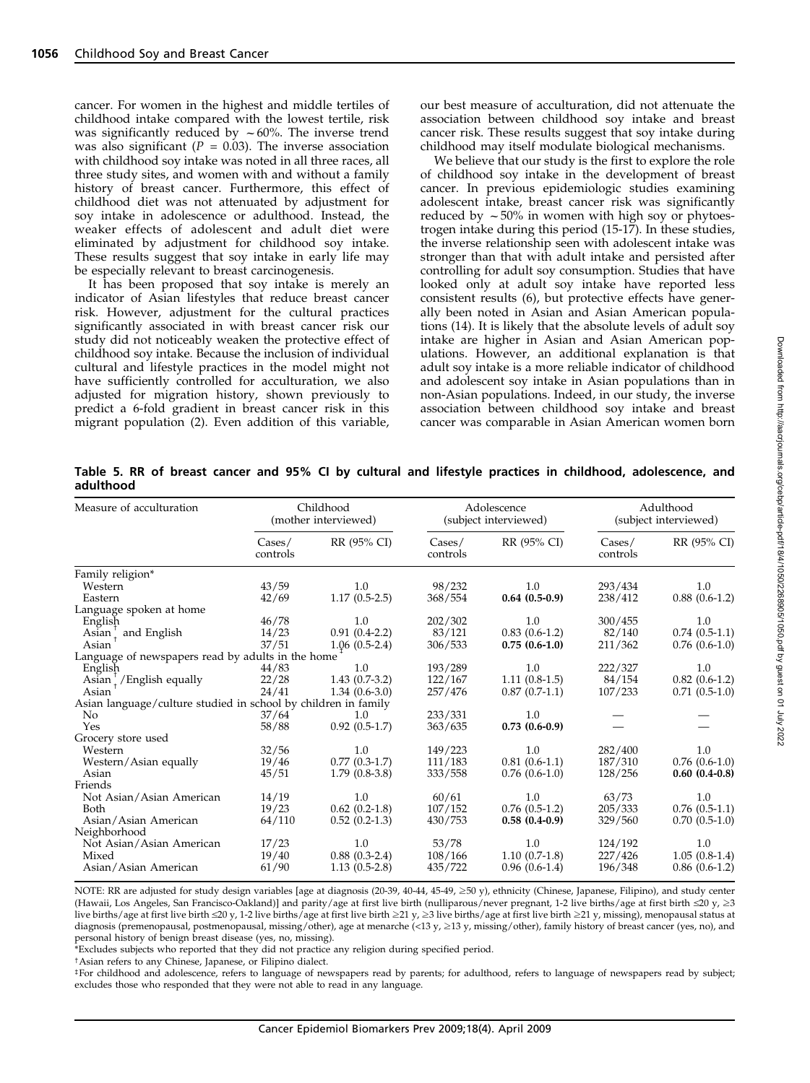cancer. For women in the highest and middle tertiles of childhood intake compared with the lowest tertile, risk was significantly reduced by  $\sim 60\%$ . The inverse trend was also significant ( $P = 0.03$ ). The inverse association with childhood soy intake was noted in all three races, all three study sites, and women with and without a family history of breast cancer. Furthermore, this effect of childhood diet was not attenuated by adjustment for soy intake in adolescence or adulthood. Instead, the weaker effects of adolescent and adult diet were eliminated by adjustment for childhood soy intake. These results suggest that soy intake in early life may be especially relevant to breast carcinogenesis.

It has been proposed that soy intake is merely an indicator of Asian lifestyles that reduce breast cancer risk. However, adjustment for the cultural practices significantly associated in with breast cancer risk our study did not noticeably weaken the protective effect of childhood soy intake. Because the inclusion of individual cultural and lifestyle practices in the model might not have sufficiently controlled for acculturation, we also adjusted for migration history, shown previously to predict a 6-fold gradient in breast cancer risk in this migrant population (2). Even addition of this variable,

our best measure of acculturation, did not attenuate the association between childhood soy intake and breast cancer risk. These results suggest that soy intake during childhood may itself modulate biological mechanisms.

We believe that our study is the first to explore the role of childhood soy intake in the development of breast cancer. In previous epidemiologic studies examining adolescent intake, breast cancer risk was significantly reduced by  $\sim$  50% in women with high soy or phytoestrogen intake during this period (15-17). In these studies, the inverse relationship seen with adolescent intake was stronger than that with adult intake and persisted after controlling for adult soy consumption. Studies that have looked only at adult soy intake have reported less consistent results (6), but protective effects have generally been noted in Asian and Asian American populations (14). It is likely that the absolute levels of adult soy intake are higher in Asian and Asian American populations. However, an additional explanation is that adult soy intake is a more reliable indicator of childhood and adolescent soy intake in Asian populations than in non-Asian populations. Indeed, in our study, the inverse association between childhood soy intake and breast cancer was comparable in Asian American women born

Table 5. RR of breast cancer and 95% CI by cultural and lifestyle practices in childhood, adolescence, and adulthood

| Measure of acculturation                                       |                             | Childhood<br>(mother interviewed) |                             | Adolescence<br>(subject interviewed) |                              | Adulthood<br>(subject interviewed) |  |
|----------------------------------------------------------------|-----------------------------|-----------------------------------|-----------------------------|--------------------------------------|------------------------------|------------------------------------|--|
|                                                                | $\text{Cases}/$<br>controls | RR (95% CI)                       | $\text{Cases}/$<br>controls | RR (95% CI)                          | $\text{Cases} /$<br>controls | RR (95% CI)                        |  |
| Family religion*                                               |                             |                                   |                             |                                      |                              |                                    |  |
| Western                                                        | 43/59                       | 1.0                               | 98/232                      | 1.0                                  | 293/434                      | 1.0                                |  |
| Eastern                                                        | 42/69                       | $1.17(0.5-2.5)$                   | 368/554                     | $0.64(0.5-0.9)$                      | 238/412                      | $0.88(0.6-1.2)$                    |  |
| Language spoken at home                                        |                             |                                   |                             |                                      |                              |                                    |  |
| English                                                        | 46/78                       | 1.0                               | 202/302                     | 1.0                                  | 300/455                      | 1.0                                |  |
| Asian   and English                                            | 14/23                       | $0.91(0.4-2.2)$                   | 83/121                      | $0.83(0.6-1.2)$                      | 82/140                       | $0.74(0.5-1.1)$                    |  |
| Asian                                                          | 37/51                       | $1.06(0.5-2.4)$                   | 306/533                     | $0.75(0.6-1.0)$                      | 211/362                      | $0.76(0.6-1.0)$                    |  |
| Language of newspapers read by adults in the home              |                             |                                   |                             |                                      |                              |                                    |  |
| English                                                        | 44/83                       | 1.0                               | 193/289                     | 1.0                                  | 222/327                      | 1.0                                |  |
| Asian   / English equally                                      | 22/28                       | $1.43(0.7-3.2)$                   | 122/167                     | $1.11(0.8-1.5)$                      | 84/154                       | $0.82(0.6-1.2)$                    |  |
| Asian                                                          | 24/41                       | $1.34(0.6-3.0)$                   | 257/476                     | $0.87(0.7-1.1)$                      | 107/233                      | $0.71(0.5-1.0)$                    |  |
| Asian language/culture studied in school by children in family |                             |                                   |                             |                                      |                              |                                    |  |
| No                                                             | 37/64                       | 1.0                               | 233/331                     | 1.0                                  |                              |                                    |  |
| Yes                                                            | 58/88                       | $0.92(0.5-1.7)$                   | 363/635                     | $0.73(0.6-0.9)$                      |                              |                                    |  |
| Grocery store used                                             |                             |                                   |                             |                                      |                              |                                    |  |
| Western                                                        | 32/56                       | 1.0                               | 149/223                     | 1.0                                  | 282/400                      | 1.0                                |  |
| Western/Asian equally                                          | 19/46                       | $0.77(0.3-1.7)$                   | 111/183                     | $0.81(0.6-1.1)$                      | 187/310                      | $0.76(0.6-1.0)$                    |  |
| Asian                                                          | 45/51                       | $1.79(0.8-3.8)$                   | 333/558                     | $0.76(0.6-1.0)$                      | 128/256                      | $0.60(0.4-0.8)$                    |  |
| Friends                                                        |                             |                                   |                             |                                      |                              |                                    |  |
| Not Asian/Asian American                                       | 14/19                       | 1.0                               | 60/61                       | 1.0                                  | 63/73                        | 1.0                                |  |
| <b>Both</b>                                                    | 19/23                       | $0.62(0.2-1.8)$                   | 107/152                     | $0.76(0.5-1.2)$                      | 205/333                      | $0.76(0.5-1.1)$                    |  |
| Asian/Asian American                                           | 64/110                      | $0.52(0.2-1.3)$                   | 430/753                     | $0.58(0.4-0.9)$                      | 329/560                      | $0.70(0.5-1.0)$                    |  |
| Neighborhood                                                   |                             |                                   |                             |                                      |                              |                                    |  |
| Not Asian/Asian American                                       | 17/23                       | 1.0                               | 53/78                       | 1.0                                  | 124/192                      | 1.0                                |  |
| Mixed                                                          | 19/40                       | $0.88(0.3-2.4)$                   | 108/166                     | $1.10(0.7-1.8)$                      | 227/426                      | $1.05(0.8-1.4)$                    |  |
| Asian/Asian American                                           | 61/90                       | $1.13(0.5-2.8)$                   | 435/722                     | $0.96(0.6-1.4)$                      | 196/348                      | $0.86(0.6-1.2)$                    |  |

NOTE: RR are adjusted for study design variables [age at diagnosis (20-39, 40-44, 45-49,  $\geq$ 50 y), ethnicity (Chinese, Japanese, Filipino), and study center (Hawaii, Los Angeles, San Francisco-Oakland)] and parity/age at first live birth (nulliparous/never pregnant, 1-2 live births/age at first birth  $\leq$ 0 y,  $\geq$ 3 live births/age at first live birth  $\leq 20$  y, 1-2 live births/age at first live birth  $\geq 21$  y,  $\geq 3$  live births/age at first live birth  $\geq 21$  y, missing), menopausal status at diagnosis (premenopausal, postmenopausal, missing/other), age at menarche (<13 y,  $\geq$ 13 y, missing/other), family history of breast cancer (yes, no), and personal history of benign breast disease (yes, no, missing).

\*Excludes subjects who reported that they did not practice any religion during specified period.

tAsian refers to any Chinese, Japanese, or Filipino dialect.

bFor childhood and adolescence, refers to language of newspapers read by parents;for adulthood, refers to language of newspapers read by subject; excludes those who responded that they were not able to read in any language.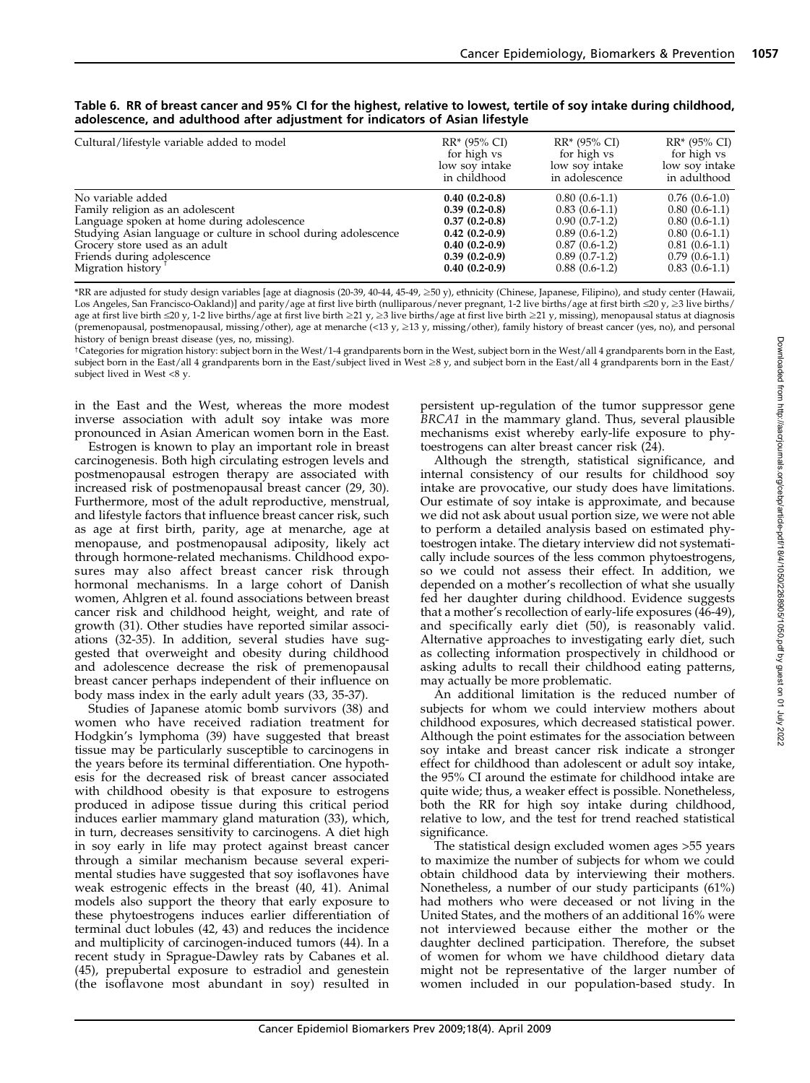|  |  | Table 6. RR of breast cancer and 95% CI for the highest, relative to lowest, tertile of soy intake during childhood, |  |  |
|--|--|----------------------------------------------------------------------------------------------------------------------|--|--|
|  |  | adolescence, and adulthood after adjustment for indicators of Asian lifestyle                                        |  |  |

| Cultural/lifestyle variable added to model                      | $RR*$ (95% CI)  | $RR* (95\% CI)$ | $RR* (95\% CI)$ |
|-----------------------------------------------------------------|-----------------|-----------------|-----------------|
|                                                                 | for high vs     | for high vs     | for high vs     |
|                                                                 | low soy intake  | low sov intake  | low soy intake  |
|                                                                 | in childhood    | in adolescence  | in adulthood    |
| No variable added                                               | $0.40(0.2-0.8)$ | $0.80(0.6-1.1)$ | $0.76(0.6-1.0)$ |
| Family religion as an adolescent                                | $0.39(0.2-0.8)$ | $0.83(0.6-1.1)$ | $0.80(0.6-1.1)$ |
| Language spoken at home during adolescence                      | $0.37(0.2-0.8)$ | $0.90(0.7-1.2)$ | $0.80(0.6-1.1)$ |
| Studying Asian language or culture in school during adolescence | $0.42(0.2-0.9)$ | $0.89(0.6-1.2)$ | $0.80(0.6-1.1)$ |
| Grocery store used as an adult                                  | $0.40(0.2-0.9)$ | $0.87(0.6-1.2)$ | $0.81(0.6-1.1)$ |
| Friends during adolescence                                      | $0.39(0.2-0.9)$ | $0.89(0.7-1.2)$ | $0.79(0.6-1.1)$ |
| Migration history                                               | $0.40(0.2-0.9)$ | $0.88(0.6-1.2)$ | $0.83(0.6-1.1)$ |

\*RR are adjusted for study design variables [age at diagnosis (20-39, 40-44, 45-49, z50 y), ethnicity (Chinese, Japanese, Filipino), and study center (Hawaii, Los Angeles, San Francisco-Oakland)] and parity/age at first live birth (nulliparous/never pregnant, 1-2 live births/age at first birth ≤20 y, ≥3 live births/ age at first live birth  $\leq$ 0 y, 1-2 live births/age at first live birth  $\geq$ 1 y,  $\geq$ 3 live births/age at first live birth  $\geq$ 1 y, missing), menopausal status at diagnosis (premenopausal, postmenopausal, missing/other), age at menarche (<13 y, z13 y, missing/other), family history of breast cancer (yes, no), and personal history of benign breast disease (yes, no, missing).

cCategories for migration history: subject born in the West/1-4 grandparents born in the West, subject born in the West/all 4 grandparents born in the East, subject born in the East/all 4 grandparents born in the East/subject lived in West  $\geq 8$  y, and subject born in the East/all 4 grandparents born in the East/ subject lived in West <8 y.

in the East and the West, whereas the more modest inverse association with adult soy intake was more pronounced in Asian American women born in the East.

Estrogen is known to play an important role in breast carcinogenesis. Both high circulating estrogen levels and postmenopausal estrogen therapy are associated with increased risk of postmenopausal breast cancer (29, 30). Furthermore, most of the adult reproductive, menstrual, and lifestyle factors that influence breast cancer risk, such as age at first birth, parity, age at menarche, age at menopause, and postmenopausal adiposity, likely act through hormone-related mechanisms. Childhood exposures may also affect breast cancer risk through hormonal mechanisms. In a large cohort of Danish women, Ahlgren et al. found associations between breast cancer risk and childhood height, weight, and rate of growth (31). Other studies have reported similar associations (32-35). In addition, several studies have suggested that overweight and obesity during childhood and adolescence decrease the risk of premenopausal breast cancer perhaps independent of their influence on body mass index in the early adult years (33, 35-37).

Studies of Japanese atomic bomb survivors (38) and women who have received radiation treatment for Hodgkin's lymphoma (39) have suggested that breast tissue may be particularly susceptible to carcinogens in the years before its terminal differentiation. One hypothesis for the decreased risk of breast cancer associated with childhood obesity is that exposure to estrogens produced in adipose tissue during this critical period induces earlier mammary gland maturation (33), which, in turn, decreases sensitivity to carcinogens. A diet high in soy early in life may protect against breast cancer through a similar mechanism because several experimental studies have suggested that soy isoflavones have weak estrogenic effects in the breast (40, 41). Animal models also support the theory that early exposure to these phytoestrogens induces earlier differentiation of terminal duct lobules (42, 43) and reduces the incidence and multiplicity of carcinogen-induced tumors (44). In a recent study in Sprague-Dawley rats by Cabanes et al. (45), prepubertal exposure to estradiol and genestein (the isoflavone most abundant in soy) resulted in

persistent up-regulation of the tumor suppressor gene BRCA1 in the mammary gland. Thus, several plausible mechanisms exist whereby early-life exposure to phytoestrogens can alter breast cancer risk (24).

Although the strength, statistical significance, and internal consistency of our results for childhood soy intake are provocative, our study does have limitations. Our estimate of soy intake is approximate, and because we did not ask about usual portion size, we were not able to perform a detailed analysis based on estimated phytoestrogen intake. The dietary interview did not systematically include sources of the less common phytoestrogens, so we could not assess their effect. In addition, we depended on a mother's recollection of what she usually fed her daughter during childhood. Evidence suggests that a mother's recollection of early-life exposures (46-49), and specifically early diet (50), is reasonably valid. Alternative approaches to investigating early diet, such as collecting information prospectively in childhood or asking adults to recall their childhood eating patterns, may actually be more problematic.

An additional limitation is the reduced number of subjects for whom we could interview mothers about childhood exposures, which decreased statistical power. Although the point estimates for the association between soy intake and breast cancer risk indicate a stronger effect for childhood than adolescent or adult soy intake, the 95% CI around the estimate for childhood intake are quite wide; thus, a weaker effect is possible. Nonetheless, both the RR for high soy intake during childhood, relative to low, and the test for trend reached statistical significance.

The statistical design excluded women ages >55 years to maximize the number of subjects for whom we could obtain childhood data by interviewing their mothers. Nonetheless, a number of our study participants (61%) had mothers who were deceased or not living in the United States, and the mothers of an additional 16% were not interviewed because either the mother or the daughter declined participation. Therefore, the subset of women for whom we have childhood dietary data might not be representative of the larger number of women included in our population-based study. In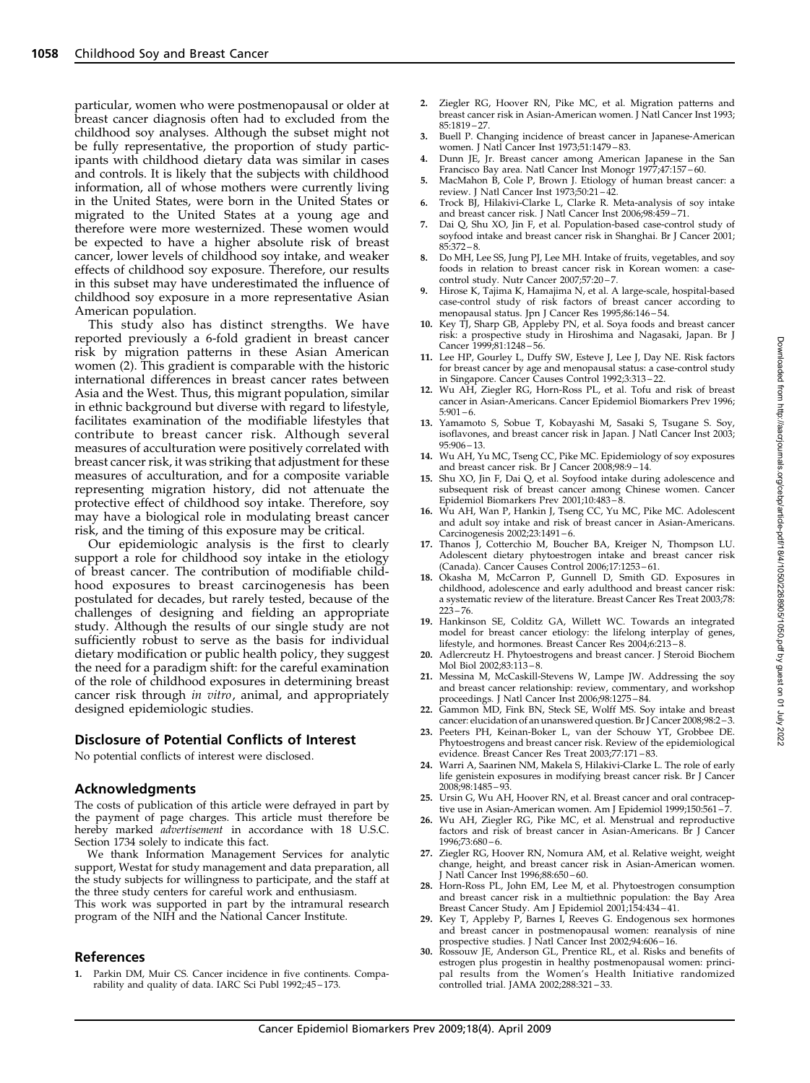particular, women who were postmenopausal or older at breast cancer diagnosis often had to excluded from the childhood soy analyses. Although the subset might not be fully representative, the proportion of study participants with childhood dietary data was similar in cases and controls. It is likely that the subjects with childhood information, all of whose mothers were currently living in the United States, were born in the United States or migrated to the United States at a young age and therefore were more westernized. These women would be expected to have a higher absolute risk of breast cancer, lower levels of childhood soy intake, and weaker effects of childhood soy exposure. Therefore, our results in this subset may have underestimated the influence of childhood soy exposure in a more representative Asian American population.

This study also has distinct strengths. We have reported previously a 6-fold gradient in breast cancer risk by migration patterns in these Asian American women (2). This gradient is comparable with the historic international differences in breast cancer rates between Asia and the West. Thus, this migrant population, similar in ethnic background but diverse with regard to lifestyle, facilitates examination of the modifiable lifestyles that contribute to breast cancer risk. Although several measures of acculturation were positively correlated with breast cancer risk, it was striking that adjustment for these measures of acculturation, and for a composite variable representing migration history, did not attenuate the protective effect of childhood soy intake. Therefore, soy may have a biological role in modulating breast cancer risk, and the timing of this exposure may be critical.

Our epidemiologic analysis is the first to clearly support a role for childhood soy intake in the etiology of breast cancer. The contribution of modifiable childhood exposures to breast carcinogenesis has been postulated for decades, but rarely tested, because of the challenges of designing and fielding an appropriate study. Although the results of our single study are not sufficiently robust to serve as the basis for individual dietary modification or public health policy, they suggest the need for a paradigm shift: for the careful examination of the role of childhood exposures in determining breast cancer risk through in vitro, animal, and appropriately designed epidemiologic studies.

#### Disclosure of Potential Conflicts of Interest

No potential conflicts of interest were disclosed.

#### Acknowledgments

The costs of publication of this article were defrayed in part by the payment of page charges. This article must therefore be hereby marked *advertisement* in accordance with 18 U.S.C. Section 1734 solely to indicate this fact.

We thank Information Management Services for analytic support, Westat for study management and data preparation, all the study subjects for willingness to participate, and the staff at the three study centers for careful work and enthusiasm. This work was supported in part by the intramural research program of the NIH and the National Cancer Institute.

#### References

1. Parkin DM, Muir CS. Cancer incidence in five continents. Comparability and quality of data. IARC Sci Publ 1992;:45 – 173.

- Ziegler RG, Hoover RN, Pike MC, et al. Migration patterns and breast cancer risk in Asian-American women. J Natl Cancer Inst 1993; 85:1819 – 27.
- 3. Buell P. Changing incidence of breast cancer in Japanese-American women. J Natl Cancer Inst 1973;51:1479 – 83.
- Dunn JE, Jr. Breast cancer among American Japanese in the San Francisco Bay area. Natl Cancer Inst Monogr 1977;47:157 – 60.
- 5. MacMahon B, Cole P, Brown J. Etiology of human breast cancer: a review. J Natl Cancer Inst 1973;50:21 – 42.
- 6. Trock BJ, Hilakivi-Clarke L, Clarke R. Meta-analysis of soy intake and breast cancer risk. J Natl Cancer Inst 2006;98:459 – 71.
- 7. Dai Q, Shu XO, Jin F, et al. Population-based case-control study of soyfood intake and breast cancer risk in Shanghai. Br J Cancer 2001;  $85:372 - 8$
- Do MH, Lee SS, Jung PJ, Lee MH. Intake of fruits, vegetables, and soy foods in relation to breast cancer risk in Korean women: a casecontrol study. Nutr Cancer 2007;57:20 – 7.
- Hirose K, Tajima K, Hamajima N, et al. A large-scale, hospital-based case-control study of risk factors of breast cancer according to menopausal status. Jpn J Cancer Res 1995;86:146 – 54.
- 10. Key TJ, Sharp GB, Appleby PN, et al. Soya foods and breast cancer risk: a prospective study in Hiroshima and Nagasaki, Japan. Br J Cancer 1999;81:1248 – 56.
- 11. Lee HP, Gourley L, Duffy SW, Esteve J, Lee J, Day NE. Risk factors for breast cancer by age and menopausal status: a case-control study in Singapore. Cancer Causes Control 1992;3:313 – 22.
- 12. Wu AH, Ziegler RG, Horn-Ross PL, et al. Tofu and risk of breast cancer in Asian-Americans. Cancer Epidemiol Biomarkers Prev 1996;  $5:901 - 6.$
- 13. Yamamoto S, Sobue T, Kobayashi M, Sasaki S, Tsugane S. Soy, isoflavones, and breast cancer risk in Japan. J Natl Cancer Inst 2003;  $95:906 - 13.$
- 14. Wu AH, Yu MC, Tseng CC, Pike MC. Epidemiology of soy exposures and breast cancer risk. Br J Cancer 2008;98:9 – 14.
- 15. Shu XO, Jin F, Dai Q, et al. Soyfood intake during adolescence and subsequent risk of breast cancer among Chinese women. Cancer Epidemiol Biomarkers Prev 2001;10:483 – 8.
- 16. Wu AH, Wan P, Hankin J, Tseng CC, Yu MC, Pike MC. Adolescent and adult soy intake and risk of breast cancer in Asian-Americans. Carcinogenesis 2002;23:1491 – 6.
- 17. Thanos J, Cotterchio M, Boucher BA, Kreiger N, Thompson LU. Adolescent dietary phytoestrogen intake and breast cancer risk (Canada). Cancer Causes Control 2006;17:1253 – 61.
- 18. Okasha M, McCarron P, Gunnell D, Smith GD. Exposures in childhood, adolescence and early adulthood and breast cancer risk: a systematic review of the literature. Breast Cancer Res Treat 2003;78:  $223 - 76.$
- 19. Hankinson SE, Colditz GA, Willett WC. Towards an integrated model for breast cancer etiology: the lifelong interplay of genes, lifestyle, and hormones. Breast Cancer Res 2004;6:213 – 8.
- 20. Adlercreutz H. Phytoestrogens and breast cancer. J Steroid Biochem Mol Biol 2002;83:113 – 8.
- 21. Messina M, McCaskill-Stevens W, Lampe JW. Addressing the soy and breast cancer relationship: review, commentary, and workshop proceedings. J Natl Cancer Inst 2006;98:1275 – 84.
- 22. Gammon MD, Fink BN, Steck SE, Wolff MS. Soy intake and breast cancer: elucidation of an unanswered question. Br J Cancer 2008;98:2 – 3.
- 23. Peeters PH, Keinan-Boker L, van der Schouw YT, Grobbee DE. Phytoestrogens and breast cancer risk. Review of the epidemiological evidence. Breast Cancer Res Treat 2003;77:171 – 83.
- 24. Warri A, Saarinen NM, Makela S, Hilakivi-Clarke L. The role of early life genistein exposures in modifying breast cancer risk. Br J Cancer 2008;98:1485 – 93.
- 25. Ursin G, Wu AH, Hoover RN, et al. Breast cancer and oral contraceptive use in Asian-American women. Am J Epidemiol 1999;150:561 – 7.
- 26. Wu AH, Ziegler RG, Pike MC, et al. Menstrual and reproductive factors and risk of breast cancer in Asian-Americans. Br J Cancer 1996;73:680 – 6.
- 27. Ziegler RG, Hoover RN, Nomura AM, et al. Relative weight, weight change, height, and breast cancer risk in Asian-American women. J Natl Cancer Inst 1996;88:650 – 60.
- 28. Horn-Ross PL, John EM, Lee M, et al. Phytoestrogen consumption and breast cancer risk in a multiethnic population: the Bay Area Breast Cancer Study. Am J Epidemiol 2001;154:434 – 41.
- 29. Key T, Appleby P, Barnes I, Reeves G. Endogenous sex hormones and breast cancer in postmenopausal women: reanalysis of nine prospective studies. J Natl Cancer Inst 2002;94:606 – 16.
- 30. Rossouw JE, Anderson GL, Prentice RL, et al. Risks and benefits of estrogen plus progestin in healthy postmenopausal women: princi-pal results from the Women's Health Initiative randomized controlled trial. JAMA 2002;288:321 – 33.